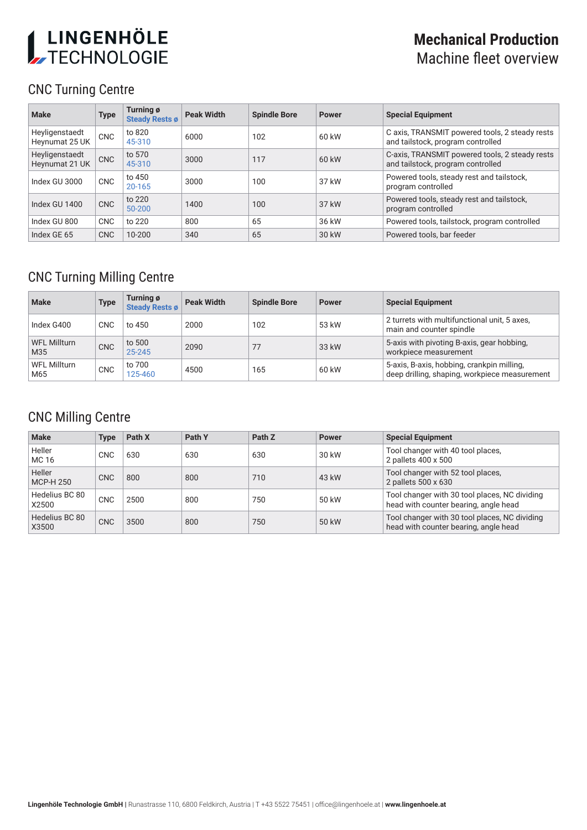# LINGENHÖLE

# **Mechanical Production** Machine fleet overview

# CNC Turning Centre

| <b>Make</b>                      | <b>Type</b> | Turning ø<br><b>Steady Rests ø</b> | <b>Peak Width</b> | <b>Spindle Bore</b> | <b>Power</b> | <b>Special Equipment</b>                                                            |
|----------------------------------|-------------|------------------------------------|-------------------|---------------------|--------------|-------------------------------------------------------------------------------------|
| Heyligenstaedt<br>Heynumat 25 UK | <b>CNC</b>  | to 820<br>45-310                   | 6000              | 102                 | 60 kW        | C axis, TRANSMIT powered tools, 2 steady rests<br>and tailstock, program controlled |
| Heyligenstaedt<br>Heynumat 21 UK | <b>CNC</b>  | to 570<br>45-310                   | 3000              | 117                 | 60 kW        | C-axis, TRANSMIT powered tools, 2 steady rests<br>and tailstock, program controlled |
| Index GU 3000                    | <b>CNC</b>  | to 450<br>20-165                   | 3000              | 100                 | 37 kW        | Powered tools, steady rest and tailstock,<br>program controlled                     |
| Index GU 1400                    | <b>CNC</b>  | to 220<br>$50 - 200$               | 1400              | 100                 | 37 kW        | Powered tools, steady rest and tailstock,<br>program controlled                     |
| Index GU 800                     | <b>CNC</b>  | to 220                             | 800               | 65                  | 36 kW        | Powered tools, tailstock, program controlled                                        |
| Index GE 65                      | <b>CNC</b>  | $10 - 200$                         | 340               | 65                  | 30 kW        | Powered tools, bar feeder                                                           |

## CNC Turning Milling Centre

| <b>Make</b>                | <b>Type</b> | Turning ø<br><b>Steady Rests ø</b> | <b>Peak Width</b> | <b>Spindle Bore</b> | <b>Power</b> | <b>Special Equipment</b>                                                                    |
|----------------------------|-------------|------------------------------------|-------------------|---------------------|--------------|---------------------------------------------------------------------------------------------|
| Index G400                 | <b>CNC</b>  | to 450                             | 2000              | 102                 | 53 kW        | 2 turrets with multifunctional unit, 5 axes,<br>main and counter spindle                    |
| <b>WFL Millturn</b><br>M35 | <b>CNC</b>  | to 500<br>25-245                   | 2090              | 77                  | 33 kW        | 5-axis with pivoting B-axis, gear hobbing,<br>workpiece measurement                         |
| WFL Millturn<br>M65        | <b>CNC</b>  | to 700<br>125-460                  | 4500              | 165                 | 60 kW        | 5-axis, B-axis, hobbing, crankpin milling,<br>deep drilling, shaping, workpiece measurement |

#### CNC Milling Centre

| <b>Make</b>             | Type       | Path X | Path Y | Path Z | <b>Power</b> | <b>Special Equipment</b>                                                               |
|-------------------------|------------|--------|--------|--------|--------------|----------------------------------------------------------------------------------------|
| Heller<br>MC 16         | CNC        | 630    | 630    | 630    | 30 kW        | Tool changer with 40 tool places,<br>2 pallets 400 x 500                               |
| Heller<br>MCP-H 250     | <b>CNC</b> | 800    | 800    | 710    | 43 kW        | Tool changer with 52 tool places,<br>2 pallets 500 x 630                               |
| Hedelius BC 80<br>X2500 | <b>CNC</b> | 2500   | 800    | 750    | 50 kW        | Tool changer with 30 tool places, NC dividing<br>head with counter bearing, angle head |
| Hedelius BC 80<br>X3500 | <b>CNC</b> | 3500   | 800    | 750    | 50 kW        | Tool changer with 30 tool places, NC dividing<br>head with counter bearing, angle head |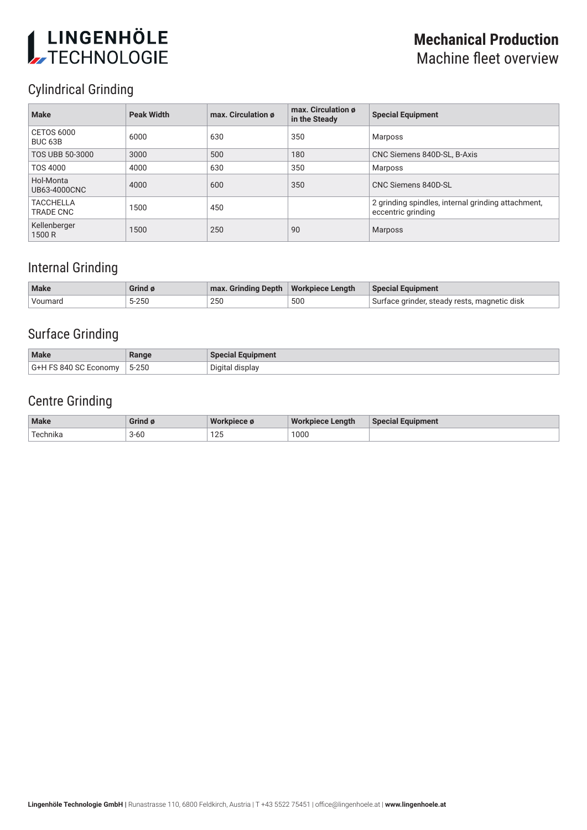# LINGENHÖLE

## **Mechanical Production** Machine fleet overview

# Cylindrical Grinding

| <b>Make</b>                       | <b>Peak Width</b> | max. Circulation ø | max. Circulation ø<br>in the Steady | <b>Special Equipment</b>                                                 |
|-----------------------------------|-------------------|--------------------|-------------------------------------|--------------------------------------------------------------------------|
| CETOS 6000<br>BUC <sub>63</sub> B | 6000              | 630                | 350                                 | Marposs                                                                  |
| <b>TOS UBB 50-3000</b>            | 3000              | 500                | 180                                 | CNC Siemens 840D-SL, B-Axis                                              |
| TOS 4000                          | 4000              | 630                | 350                                 | <b>Marposs</b>                                                           |
| Hol-Monta<br>UB63-4000CNC         | 4000              | 600                | 350                                 | CNC Siemens 840D-SL                                                      |
| <b>TACCHELLA</b><br>TRADE CNC     | 1500              | 450                |                                     | 2 grinding spindles, internal grinding attachment,<br>eccentric grinding |
| Kellenberger<br>1500 R            | 1500              | 250                | 90                                  | Marposs                                                                  |

## Internal Grinding

| <b>Make</b> | Grind ø | max. Grinding Depth   Workpiece Length |     | <b>Special Equipment</b>                     |
|-------------|---------|----------------------------------------|-----|----------------------------------------------|
| Voumard     | 5-250   | 250                                    | 500 | Surface grinder, steady rests, magnetic disk |

## Surface Grinding

| <b>Make</b>                  | Range              | <b>Special Equipment</b> |
|------------------------------|--------------------|--------------------------|
| G+H FS 840 SC E<br>: Economv | $5 - 250$<br>$  -$ | Digital display          |

## Centre Grinding

| <b>Make</b> | Grind    | <b>Wol</b><br><b>Projece of</b> | Wor<br>∙ Lenath<br>'kpiece | Equipment.<br><b>Special E</b> |
|-------------|----------|---------------------------------|----------------------------|--------------------------------|
| echnika     | $3 - 60$ | 12E<br>ن ∠ ا                    | 1000<br>.                  |                                |